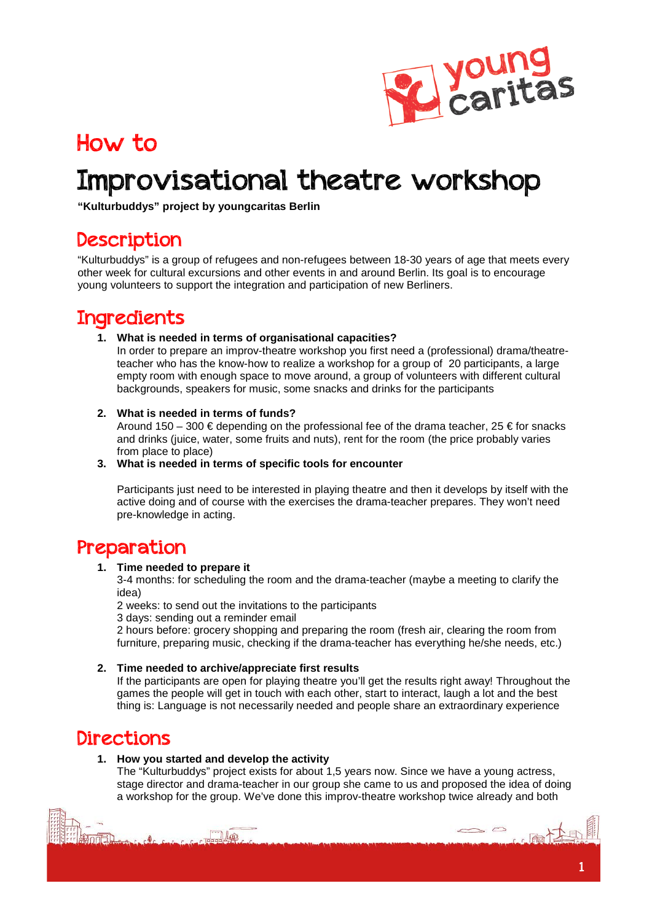

## How to

# Improvisational theatre workshop

**"Kulturbuddys" project by youngcaritas Berlin**

### Description

"Kulturbuddys" is a group of refugees and non-refugees between 18-30 years of age that meets every other week for cultural excursions and other events in and around Berlin. Its goal is to encourage young volunteers to support the integration and participation of new Berliners.

### Ingredients

#### **1. What is needed in terms of organisational capacities?**

In order to prepare an improv-theatre workshop you first need a (professional) drama/theatreteacher who has the know-how to realize a workshop for a group of 20 participants, a large empty room with enough space to move around, a group of volunteers with different cultural backgrounds, speakers for music, some snacks and drinks for the participants

#### **2. What is needed in terms of funds?**

Around 150 – 300  $\in$  depending on the professional fee of the drama teacher, 25  $\in$  for snacks and drinks (juice, water, some fruits and nuts), rent for the room (the price probably varies from place to place)

#### **3. What is needed in terms of specific tools for encounter**

Participants just need to be interested in playing theatre and then it develops by itself with the active doing and of course with the exercises the drama-teacher prepares. They won't need pre-knowledge in acting.

### Preparation

#### **1. Time needed to prepare it**

3-4 months: for scheduling the room and the drama-teacher (maybe a meeting to clarify the idea)

2 weeks: to send out the invitations to the participants

3 days: sending out a reminder email

2 hours before: grocery shopping and preparing the room (fresh air, clearing the room from furniture, preparing music, checking if the drama-teacher has everything he/she needs, etc.)

#### **2. Time needed to archive/appreciate first results**

If the participants are open for playing theatre you'll get the results right away! Throughout the games the people will get in touch with each other, start to interact, laugh a lot and the best thing is: Language is not necessarily needed and people share an extraordinary experience

### Directions

#### **1. How you started and develop the activity**

 $\mathbb{R}$ 

The "Kulturbuddys" project exists for about 1,5 years now. Since we have a young actress, stage director and drama-teacher in our group she came to us and proposed the idea of doing a workshop for the group. We've done this improv-theatre workshop twice already and both

 $\Rightarrow$   $\Rightarrow$